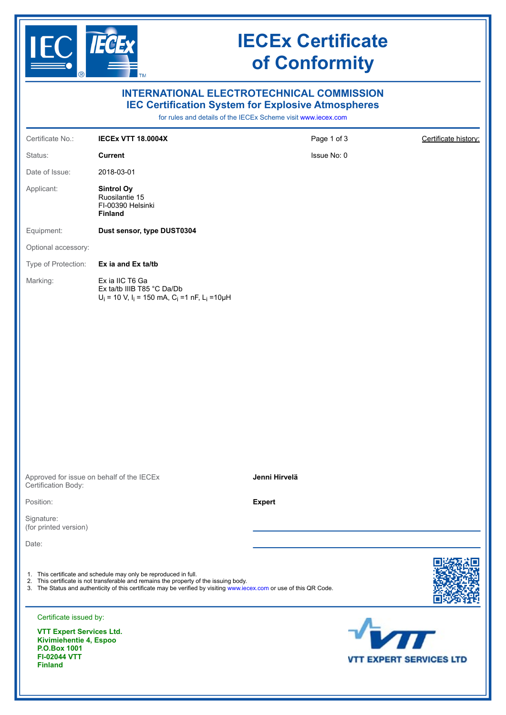

# **IECEx Certificate of Conformity**

| <b>INTERNATIONAL ELECTROTECHNICAL COMMISSION</b><br><b>IEC Certification System for Explosive Atmospheres</b> |                                                                                                                                                                                                                                                                                   |                                                               |                                |
|---------------------------------------------------------------------------------------------------------------|-----------------------------------------------------------------------------------------------------------------------------------------------------------------------------------------------------------------------------------------------------------------------------------|---------------------------------------------------------------|--------------------------------|
|                                                                                                               |                                                                                                                                                                                                                                                                                   | for rules and details of the IECEx Scheme visit www.iecex.com |                                |
| Certificate No.:                                                                                              | <b>IECEX VTT 18.0004X</b>                                                                                                                                                                                                                                                         | Page 1 of 3                                                   | Certificate history:           |
| Status:                                                                                                       | <b>Current</b>                                                                                                                                                                                                                                                                    | Issue No: 0                                                   |                                |
| Date of Issue:                                                                                                | 2018-03-01                                                                                                                                                                                                                                                                        |                                                               |                                |
| Applicant:                                                                                                    | <b>Sintrol Oy</b><br>Ruosilantie 15<br>FI-00390 Helsinki<br><b>Finland</b>                                                                                                                                                                                                        |                                                               |                                |
| Equipment:                                                                                                    | Dust sensor, type DUST0304                                                                                                                                                                                                                                                        |                                                               |                                |
| Optional accessory:                                                                                           |                                                                                                                                                                                                                                                                                   |                                                               |                                |
| Type of Protection:                                                                                           | Ex ia and Ex ta/tb                                                                                                                                                                                                                                                                |                                                               |                                |
| Marking:                                                                                                      | Ex ia IIC T6 Ga<br>Ex ta/tb IIIB T85 °C Da/Db<br>$U_i = 10$ V, $I_i = 150$ mA, C <sub>i</sub> =1 nF, L <sub>i</sub> =10µH                                                                                                                                                         |                                                               |                                |
|                                                                                                               |                                                                                                                                                                                                                                                                                   |                                                               |                                |
|                                                                                                               |                                                                                                                                                                                                                                                                                   |                                                               |                                |
|                                                                                                               |                                                                                                                                                                                                                                                                                   |                                                               |                                |
|                                                                                                               |                                                                                                                                                                                                                                                                                   |                                                               |                                |
|                                                                                                               |                                                                                                                                                                                                                                                                                   |                                                               |                                |
|                                                                                                               |                                                                                                                                                                                                                                                                                   |                                                               |                                |
|                                                                                                               |                                                                                                                                                                                                                                                                                   |                                                               |                                |
|                                                                                                               |                                                                                                                                                                                                                                                                                   |                                                               |                                |
| Approved for issue on behalf of the IECEx<br>Certification Body:                                              |                                                                                                                                                                                                                                                                                   | Jenni Hirvelä                                                 |                                |
| Position:                                                                                                     |                                                                                                                                                                                                                                                                                   | <b>Expert</b>                                                 |                                |
| Signature:<br>(for printed version)                                                                           |                                                                                                                                                                                                                                                                                   |                                                               |                                |
| Date:                                                                                                         |                                                                                                                                                                                                                                                                                   |                                                               |                                |
|                                                                                                               | 1. This certificate and schedule may only be reproduced in full.<br>2. This certificate is not transferable and remains the property of the issuing body.<br>3. The Status and authenticity of this certificate may be verified by visiting www.iecex.com or use of this QR Code. |                                                               |                                |
| Certificate issued by:                                                                                        |                                                                                                                                                                                                                                                                                   |                                                               |                                |
| <b>VTT Expert Services Ltd.</b><br>Kivimiehentie 4, Espoo<br><b>P.O.Box 1001</b>                              |                                                                                                                                                                                                                                                                                   |                                                               | $\sqrt{M}$                     |
| <b>FI-02044 VTT</b><br><b>Finland</b>                                                                         |                                                                                                                                                                                                                                                                                   |                                                               | <b>VTT EXPERT SERVICES LTD</b> |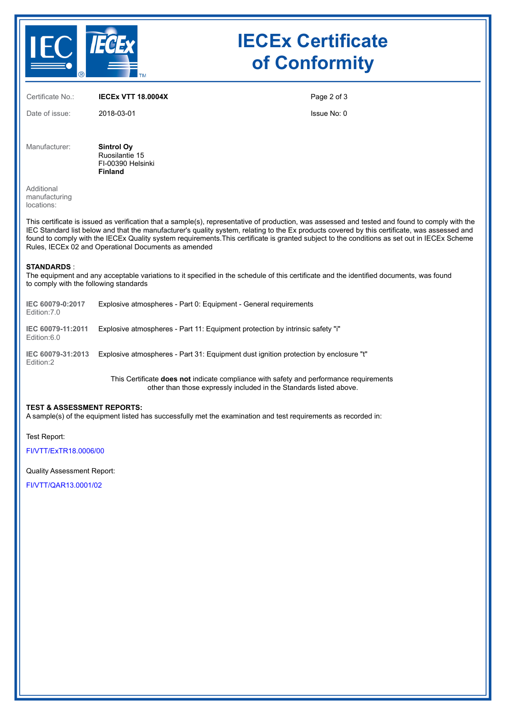

# **IECEx Certificate of Conformity**

Certificate No.: **IECEx VTT 18.0004X**

Date of issue: 2018-03-01

Page 2 of 3

Issue No: 0

Manufacturer: **Sintrol Oy** Ruosilantie 15 FI-00390 Helsinki **Finland**

Additional manufacturing locations:

This certificate is issued as verification that a sample(s), representative of production, was assessed and tested and found to comply with the IEC Standard list below and that the manufacturer's quality system, relating to the Ex products covered by this certificate, was assessed and found to comply with the IECEx Quality system requirements.This certificate is granted subject to the conditions as set out in IECEx Scheme Rules, IECEx 02 and Operational Documents as amended

### **STANDARDS** :

The equipment and any acceptable variations to it specified in the schedule of this certificate and the identified documents, was found to comply with the following standards

| IEC 60079-0:2017<br>Edition: 7.0 | Explosive atmospheres - Part 0: Equipment - General requirements                     |
|----------------------------------|--------------------------------------------------------------------------------------|
| IEC 60079-11:2011<br>Edition:6.0 | Explosive atmospheres - Part 11: Equipment protection by intrinsic safety "i"        |
| IEC 60079-31:2013<br>Edition:2   | Explosive atmospheres - Part 31: Equipment dust ignition protection by enclosure "t" |

This Certificate **does not** indicate compliance with safety and performance requirements other than those expressly included in the Standards listed above.

### **TEST & ASSESSMENT REPORTS:**

A sample(s) of the equipment listed has successfully met the examination and test requirements as recorded in:

Test Report:

[FI/VTT/ExTR18.0006/00](https://www.iecex-certs.com/deliverables/REPORT/14089/view)

#### Quality Assessment Report:

[FI/VTT/QAR13.0001/02](https://www.iecex-certs.com/deliverables/REPORT/45497/view)